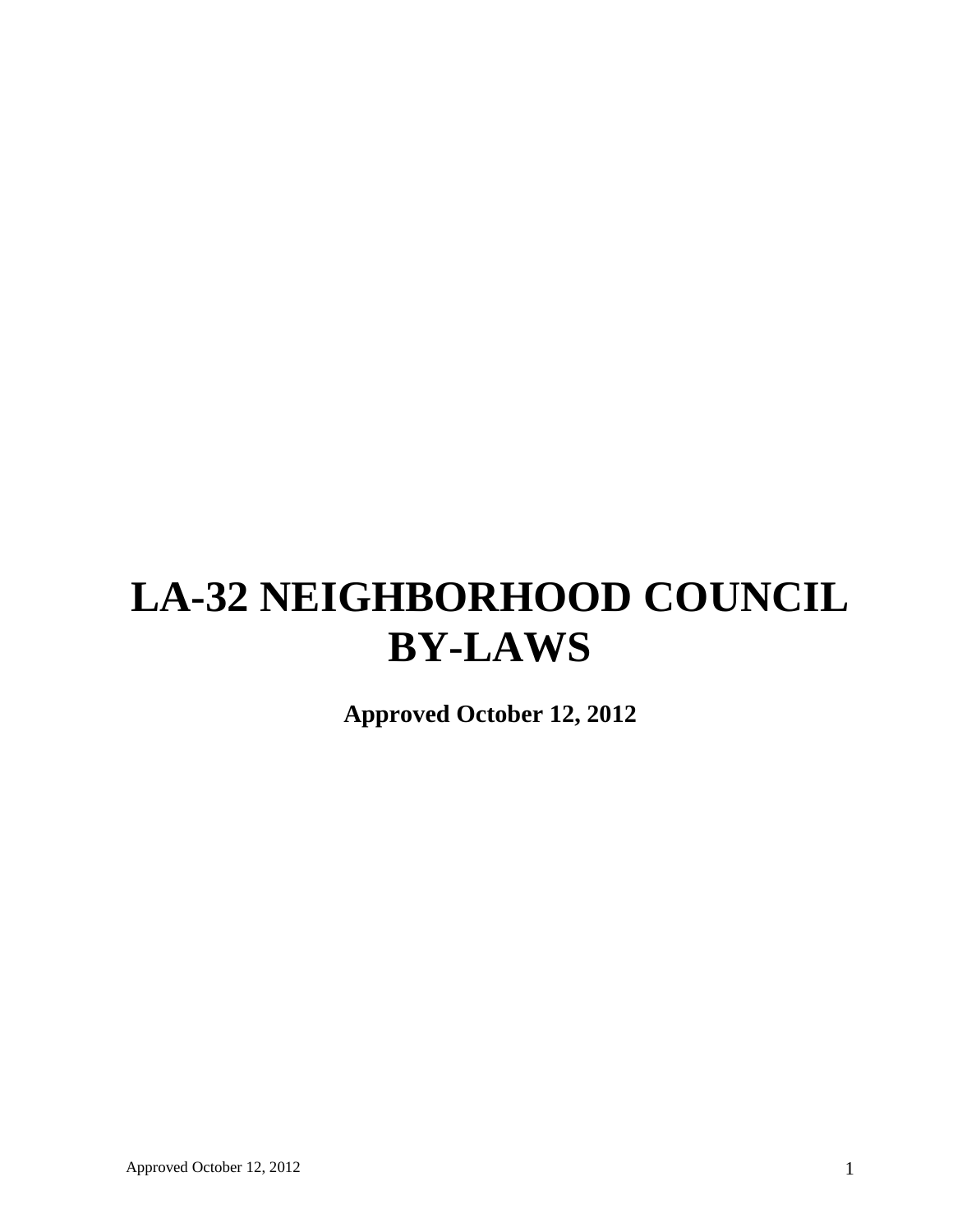# **LA-32 NEIGHBORHOOD COUNCIL BY-LAWS**

**Approved October 12, 2012**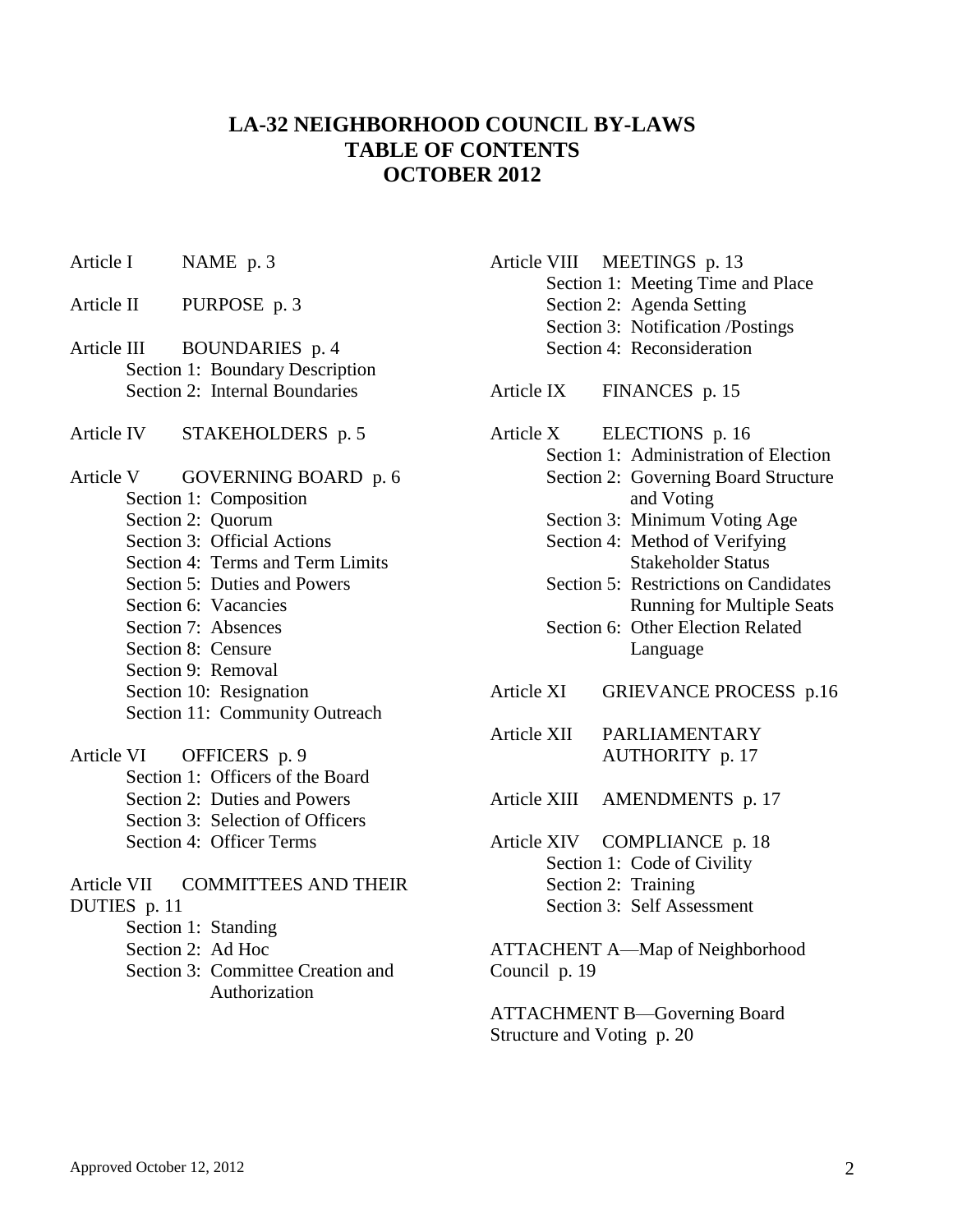## **LA-32 NEIGHBORHOOD COUNCIL BY-LAWS TABLE OF CONTENTS OCTOBER 2012**

- Article I NAME p. 3
- Article II PURPOSE p. 3
- Article III BOUNDARIES p. 4 Section 1: Boundary Description Section 2: Internal Boundaries
- Article IV STAKEHOLDERS p. 5
- Article V GOVERNING BOARD p. 6 Section 1: Composition Section 2: Quorum Section 3: Official Actions Section 4: Terms and Term Limits Section 5: Duties and Powers Section 6: Vacancies Section 7: Absences
	- Section 8: Censure Section 9: Removal
	- Section 10: Resignation Section 11: Community Outreach
- Article VI OFFICERS p. 9
	- Section 1: Officers of the Board Section 2: Duties and Powers Section 3: Selection of Officers Section 4: Officer Terms
- Article VII COMMITTEES AND THEIR DUTIES p. 11 Section 1: Standing Section 2: Ad Hoc Section 3: Committee Creation and Authorization
- Article VIII MEETINGS p. 13 Section 1: Meeting Time and Place Section 2: Agenda Setting Section 3: Notification /Postings Section 4: Reconsideration
- Article IX FINANCES p. 15
- Article X ELECTIONS p. 16
	- Section 1: Administration of Election Section 2: Governing Board Structure and Voting
		- Section 3: Minimum Voting Age
		- Section 4: Method of Verifying Stakeholder Status
		- Section 5: Restrictions on Candidates Running for Multiple Seats
		- Section 6: Other Election Related Language
- Article XI GRIEVANCE PROCESS p.16
- Article XII PARLIAMENTARY AUTHORITY p. 17
- Article XIII AMENDMENTS p. 17
- Article XIV COMPLIANCE p. 18 Section 1: Code of Civility Section 2: Training Section 3: Self Assessment

ATTACHENT A—Map of Neighborhood Council p. 19

ATTACHMENT B—Governing Board Structure and Voting p. 20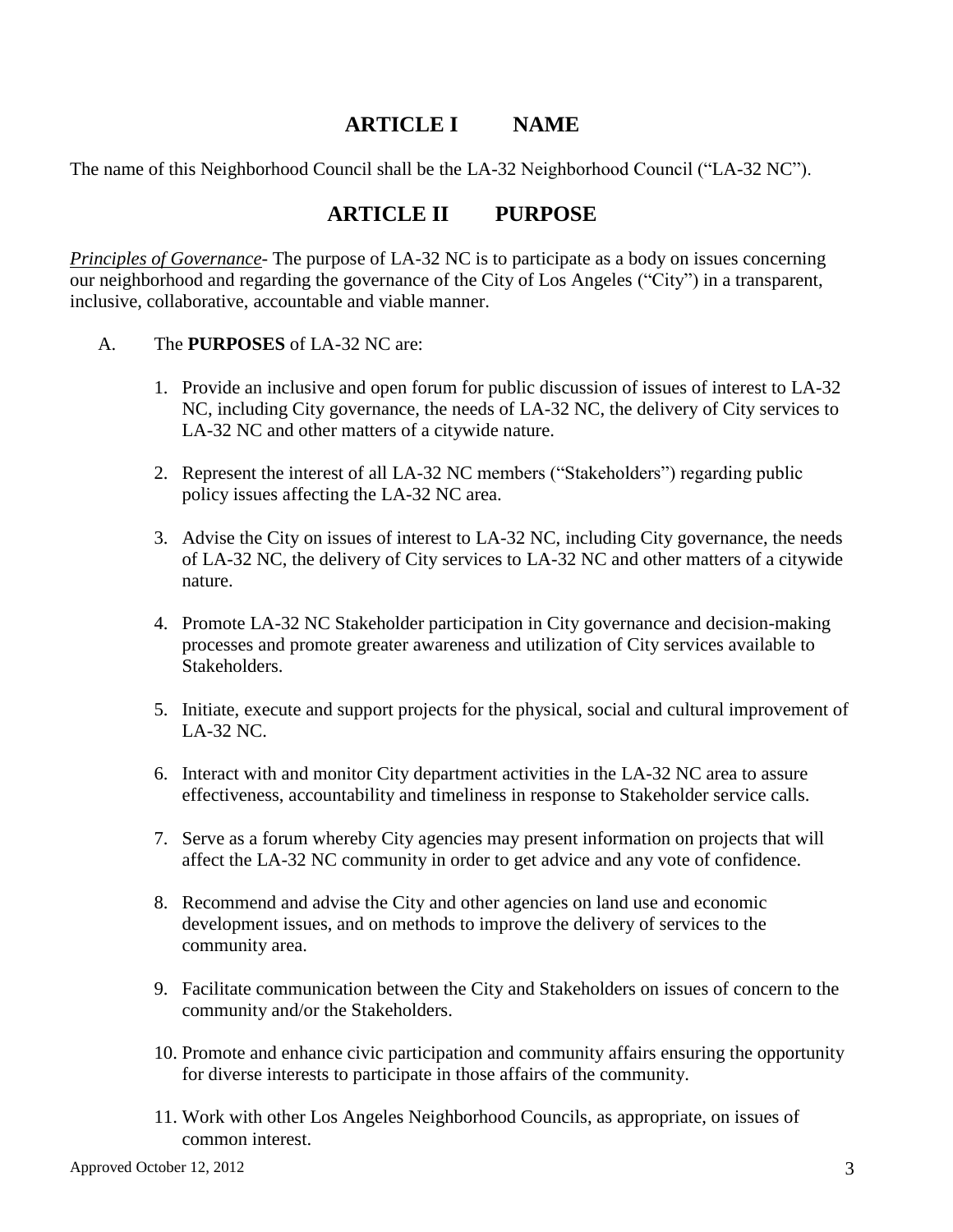## **ARTICLE I NAME**

The name of this Neighborhood Council shall be the LA-32 Neighborhood Council ("LA-32 NC").

## **ARTICLE II PURPOSE**

*Principles of Governance*- The purpose of LA-32 NC is to participate as a body on issues concerning our neighborhood and regarding the governance of the City of Los Angeles ("City") in a transparent, inclusive, collaborative, accountable and viable manner.

- A. The **PURPOSES** of LA-32 NC are:
	- 1. Provide an inclusive and open forum for public discussion of issues of interest to LA-32 NC, including City governance, the needs of LA-32 NC, the delivery of City services to LA-32 NC and other matters of a citywide nature.
	- 2. Represent the interest of all LA-32 NC members ("Stakeholders") regarding public policy issues affecting the LA-32 NC area.
	- 3. Advise the City on issues of interest to LA-32 NC, including City governance, the needs of LA-32 NC, the delivery of City services to LA-32 NC and other matters of a citywide nature.
	- 4. Promote LA-32 NC Stakeholder participation in City governance and decision-making processes and promote greater awareness and utilization of City services available to Stakeholders.
	- 5. Initiate, execute and support projects for the physical, social and cultural improvement of LA-32 NC.
	- 6. Interact with and monitor City department activities in the LA-32 NC area to assure effectiveness, accountability and timeliness in response to Stakeholder service calls.
	- 7. Serve as a forum whereby City agencies may present information on projects that will affect the LA-32 NC community in order to get advice and any vote of confidence.
	- 8. Recommend and advise the City and other agencies on land use and economic development issues, and on methods to improve the delivery of services to the community area.
	- 9. Facilitate communication between the City and Stakeholders on issues of concern to the community and/or the Stakeholders.
	- 10. Promote and enhance civic participation and community affairs ensuring the opportunity for diverse interests to participate in those affairs of the community.
	- 11. Work with other Los Angeles Neighborhood Councils, as appropriate, on issues of common interest.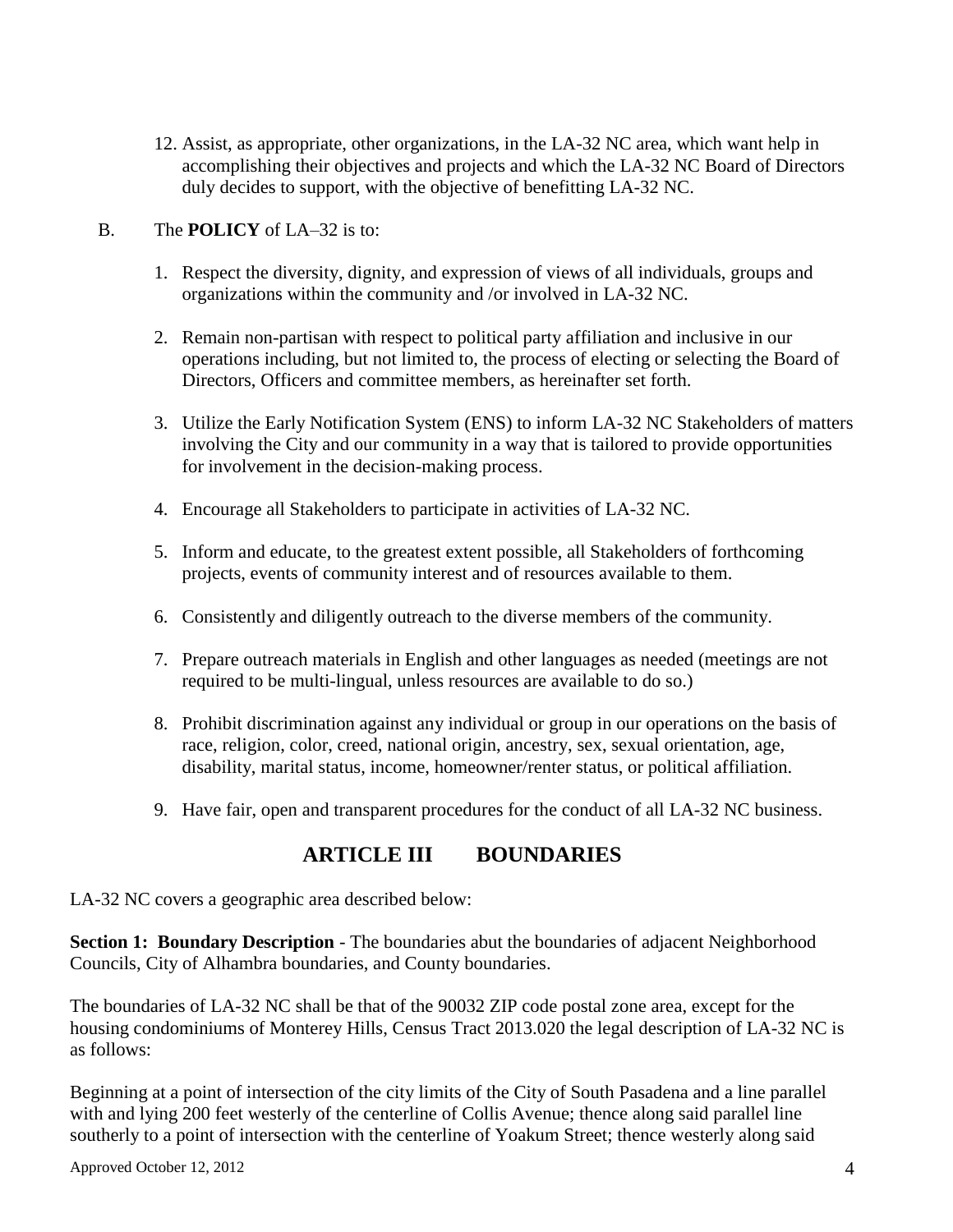12. Assist, as appropriate, other organizations, in the LA-32 NC area, which want help in accomplishing their objectives and projects and which the LA-32 NC Board of Directors duly decides to support, with the objective of benefitting LA-32 NC.

#### B. The **POLICY** of LA–32 is to:

- 1. Respect the diversity, dignity, and expression of views of all individuals, groups and organizations within the community and /or involved in LA-32 NC.
- 2. Remain non-partisan with respect to political party affiliation and inclusive in our operations including, but not limited to, the process of electing or selecting the Board of Directors, Officers and committee members, as hereinafter set forth.
- 3. Utilize the Early Notification System (ENS) to inform LA-32 NC Stakeholders of matters involving the City and our community in a way that is tailored to provide opportunities for involvement in the decision-making process.
- 4. Encourage all Stakeholders to participate in activities of LA-32 NC.
- 5. Inform and educate, to the greatest extent possible, all Stakeholders of forthcoming projects, events of community interest and of resources available to them.
- 6. Consistently and diligently outreach to the diverse members of the community.
- 7. Prepare outreach materials in English and other languages as needed (meetings are not required to be multi-lingual, unless resources are available to do so.)
- 8. Prohibit discrimination against any individual or group in our operations on the basis of race, religion, color, creed, national origin, ancestry, sex, sexual orientation, age, disability, marital status, income, homeowner/renter status, or political affiliation.
- 9. Have fair, open and transparent procedures for the conduct of all LA-32 NC business.

# **ARTICLE III BOUNDARIES**

LA-32 NC covers a geographic area described below:

**Section 1: Boundary Description** - The boundaries abut the boundaries of adjacent Neighborhood Councils, City of Alhambra boundaries, and County boundaries.

The boundaries of LA-32 NC shall be that of the 90032 ZIP code postal zone area, except for the housing condominiums of Monterey Hills, Census Tract 2013.020 the legal description of LA-32 NC is as follows:

Beginning at a point of intersection of the city limits of the City of South Pasadena and a line parallel with and lying 200 feet westerly of the centerline of Collis Avenue; thence along said parallel line southerly to a point of intersection with the centerline of Yoakum Street; thence westerly along said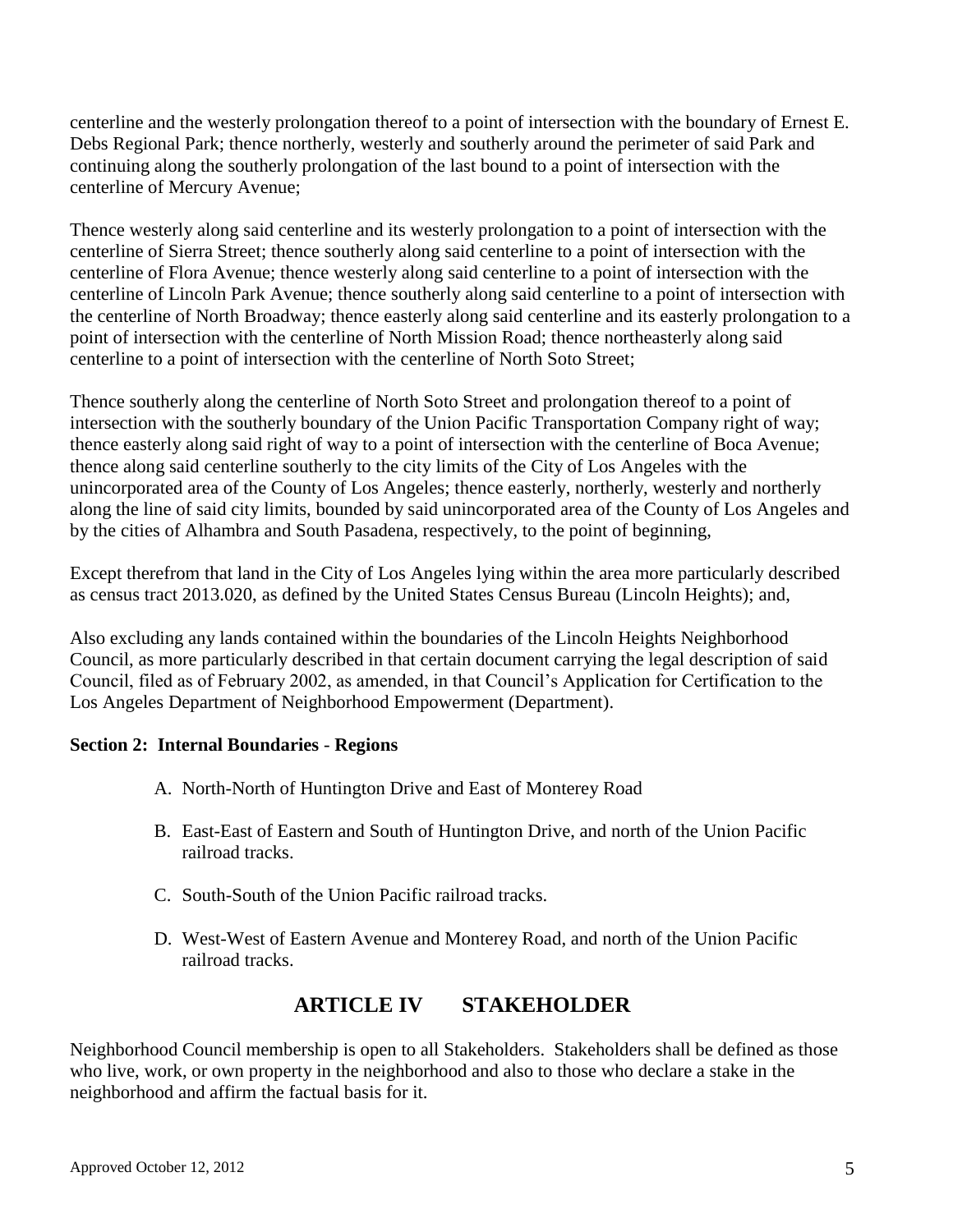centerline and the westerly prolongation thereof to a point of intersection with the boundary of Ernest E. Debs Regional Park; thence northerly, westerly and southerly around the perimeter of said Park and continuing along the southerly prolongation of the last bound to a point of intersection with the centerline of Mercury Avenue;

Thence westerly along said centerline and its westerly prolongation to a point of intersection with the centerline of Sierra Street; thence southerly along said centerline to a point of intersection with the centerline of Flora Avenue; thence westerly along said centerline to a point of intersection with the centerline of Lincoln Park Avenue; thence southerly along said centerline to a point of intersection with the centerline of North Broadway; thence easterly along said centerline and its easterly prolongation to a point of intersection with the centerline of North Mission Road; thence northeasterly along said centerline to a point of intersection with the centerline of North Soto Street;

Thence southerly along the centerline of North Soto Street and prolongation thereof to a point of intersection with the southerly boundary of the Union Pacific Transportation Company right of way; thence easterly along said right of way to a point of intersection with the centerline of Boca Avenue; thence along said centerline southerly to the city limits of the City of Los Angeles with the unincorporated area of the County of Los Angeles; thence easterly, northerly, westerly and northerly along the line of said city limits, bounded by said unincorporated area of the County of Los Angeles and by the cities of Alhambra and South Pasadena, respectively, to the point of beginning,

Except therefrom that land in the City of Los Angeles lying within the area more particularly described as census tract 2013.020, as defined by the United States Census Bureau (Lincoln Heights); and,

Also excluding any lands contained within the boundaries of the Lincoln Heights Neighborhood Council, as more particularly described in that certain document carrying the legal description of said Council, filed as of February 2002, as amended, in that Council's Application for Certification to the Los Angeles Department of Neighborhood Empowerment (Department).

#### **Section 2: Internal Boundaries** - **Regions**

- A. North-North of Huntington Drive and East of Monterey Road
- B. East-East of Eastern and South of Huntington Drive, and north of the Union Pacific railroad tracks.
- C. South-South of the Union Pacific railroad tracks.
- D. West-West of Eastern Avenue and Monterey Road, and north of the Union Pacific railroad tracks.

## **ARTICLE IV STAKEHOLDER**

Neighborhood Council membership is open to all Stakeholders. Stakeholders shall be defined as those who live, work, or own property in the neighborhood and also to those who declare a stake in the neighborhood and affirm the factual basis for it.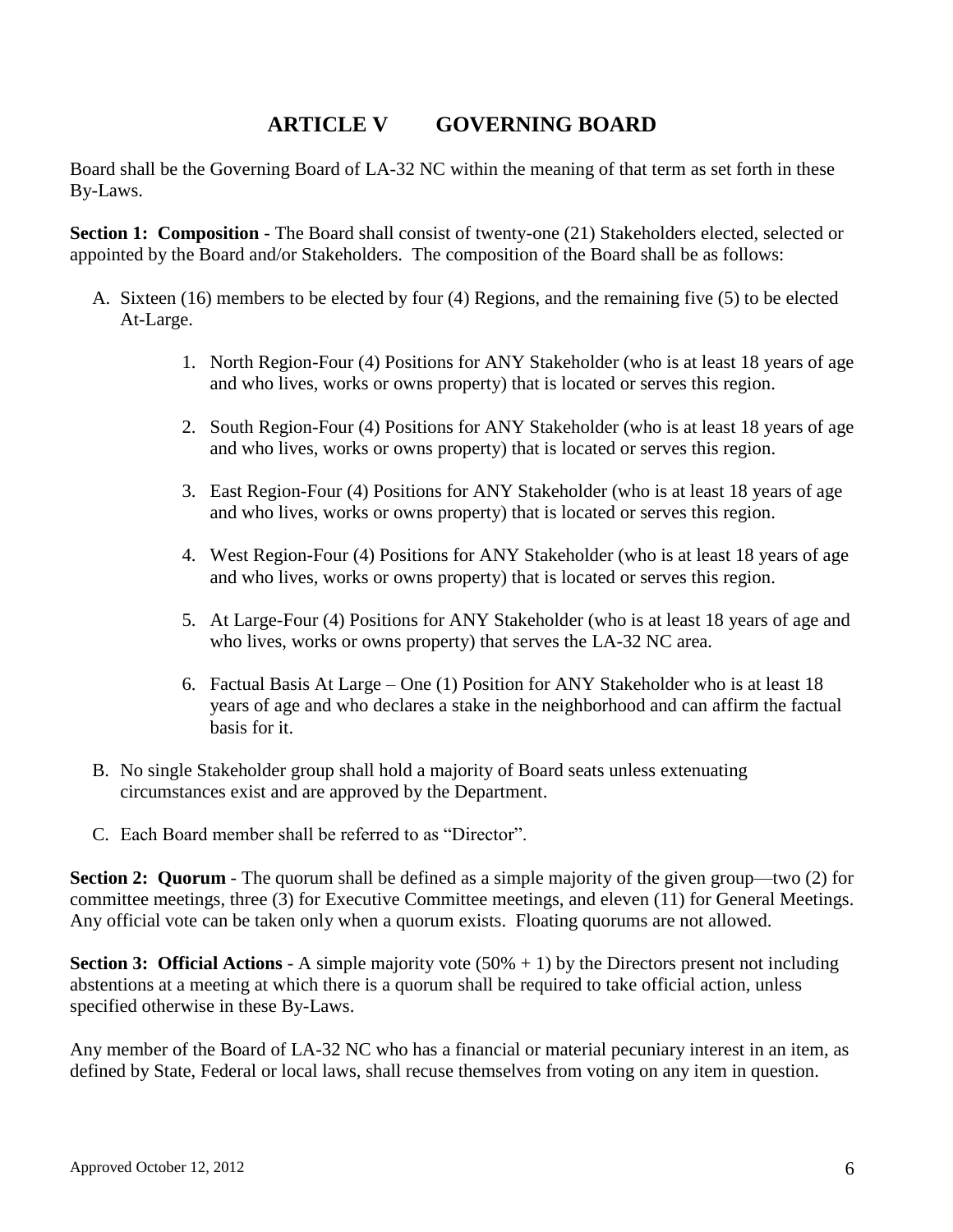## **ARTICLE V GOVERNING BOARD**

Board shall be the Governing Board of LA-32 NC within the meaning of that term as set forth in these By-Laws.

**Section 1: Composition** - The Board shall consist of twenty-one (21) Stakeholders elected, selected or appointed by the Board and/or Stakeholders. The composition of the Board shall be as follows:

- A. Sixteen (16) members to be elected by four (4) Regions, and the remaining five (5) to be elected At-Large.
	- 1. North Region-Four (4) Positions for ANY Stakeholder (who is at least 18 years of age and who lives, works or owns property) that is located or serves this region.
	- 2. South Region-Four (4) Positions for ANY Stakeholder (who is at least 18 years of age and who lives, works or owns property) that is located or serves this region.
	- 3. East Region-Four (4) Positions for ANY Stakeholder (who is at least 18 years of age and who lives, works or owns property) that is located or serves this region.
	- 4. West Region-Four (4) Positions for ANY Stakeholder (who is at least 18 years of age and who lives, works or owns property) that is located or serves this region.
	- 5. At Large-Four (4) Positions for ANY Stakeholder (who is at least 18 years of age and who lives, works or owns property) that serves the LA-32 NC area.
	- 6. Factual Basis At Large One (1) Position for ANY Stakeholder who is at least 18 years of age and who declares a stake in the neighborhood and can affirm the factual basis for it.
- B. No single Stakeholder group shall hold a majority of Board seats unless extenuating circumstances exist and are approved by the Department.
- C. Each Board member shall be referred to as "Director".

**Section 2: Quorum** - The quorum shall be defined as a simple majority of the given group—two (2) for committee meetings, three (3) for Executive Committee meetings, and eleven (11) for General Meetings. Any official vote can be taken only when a quorum exists. Floating quorums are not allowed.

**Section 3: Official Actions** - A simple majority vote (50% + 1) by the Directors present not including abstentions at a meeting at which there is a quorum shall be required to take official action, unless specified otherwise in these By-Laws.

Any member of the Board of LA-32 NC who has a financial or material pecuniary interest in an item, as defined by State, Federal or local laws, shall recuse themselves from voting on any item in question.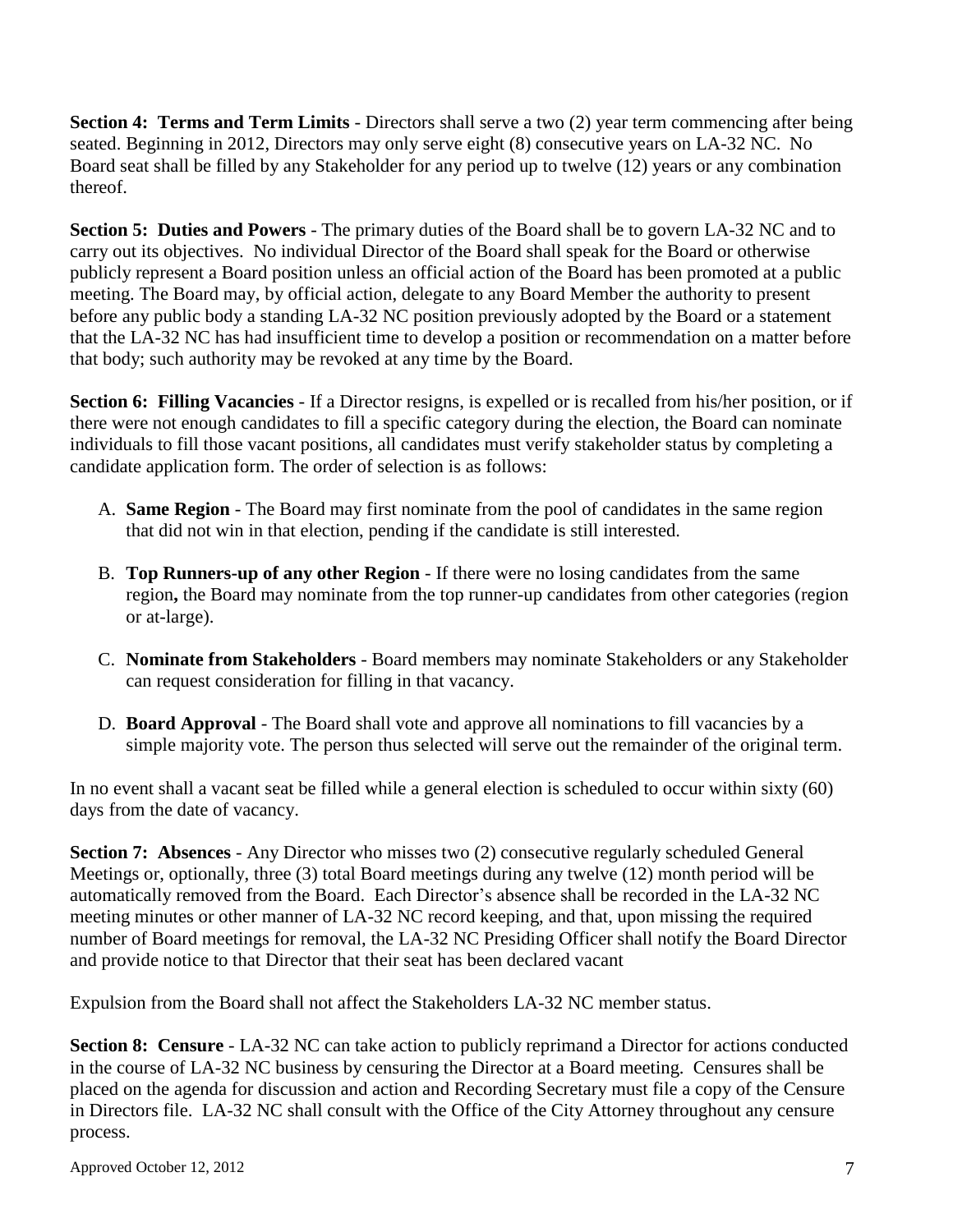**Section 4: Terms and Term Limits** - Directors shall serve a two (2) year term commencing after being seated. Beginning in 2012, Directors may only serve eight (8) consecutive years on LA-32 NC. No Board seat shall be filled by any Stakeholder for any period up to twelve (12) years or any combination thereof.

**Section 5: Duties and Powers** - The primary duties of the Board shall be to govern LA-32 NC and to carry out its objectives. No individual Director of the Board shall speak for the Board or otherwise publicly represent a Board position unless an official action of the Board has been promoted at a public meeting. The Board may, by official action, delegate to any Board Member the authority to present before any public body a standing LA-32 NC position previously adopted by the Board or a statement that the LA-32 NC has had insufficient time to develop a position or recommendation on a matter before that body; such authority may be revoked at any time by the Board.

**Section 6: Filling Vacancies** - If a Director resigns, is expelled or is recalled from his/her position, or if there were not enough candidates to fill a specific category during the election, the Board can nominate individuals to fill those vacant positions, all candidates must verify stakeholder status by completing a candidate application form. The order of selection is as follows:

- A. **Same Region** The Board may first nominate from the pool of candidates in the same region that did not win in that election, pending if the candidate is still interested.
- B. **Top Runners-up of any other Region** If there were no losing candidates from the same region**,** the Board may nominate from the top runner-up candidates from other categories (region or at-large).
- C. **Nominate from Stakeholders** Board members may nominate Stakeholders or any Stakeholder can request consideration for filling in that vacancy.
- D. **Board Approval** The Board shall vote and approve all nominations to fill vacancies by a simple majority vote. The person thus selected will serve out the remainder of the original term.

In no event shall a vacant seat be filled while a general election is scheduled to occur within sixty (60) days from the date of vacancy.

**Section 7: Absences** - Any Director who misses two (2) consecutive regularly scheduled General Meetings or, optionally, three (3) total Board meetings during any twelve (12) month period will be automatically removed from the Board. Each Director's absence shall be recorded in the LA-32 NC meeting minutes or other manner of LA-32 NC record keeping, and that, upon missing the required number of Board meetings for removal, the LA-32 NC Presiding Officer shall notify the Board Director and provide notice to that Director that their seat has been declared vacant

Expulsion from the Board shall not affect the Stakeholders LA-32 NC member status.

**Section 8: Censure** - LA-32 NC can take action to publicly reprimand a Director for actions conducted in the course of LA-32 NC business by censuring the Director at a Board meeting. Censures shall be placed on the agenda for discussion and action and Recording Secretary must file a copy of the Censure in Directors file. LA-32 NC shall consult with the Office of the City Attorney throughout any censure process.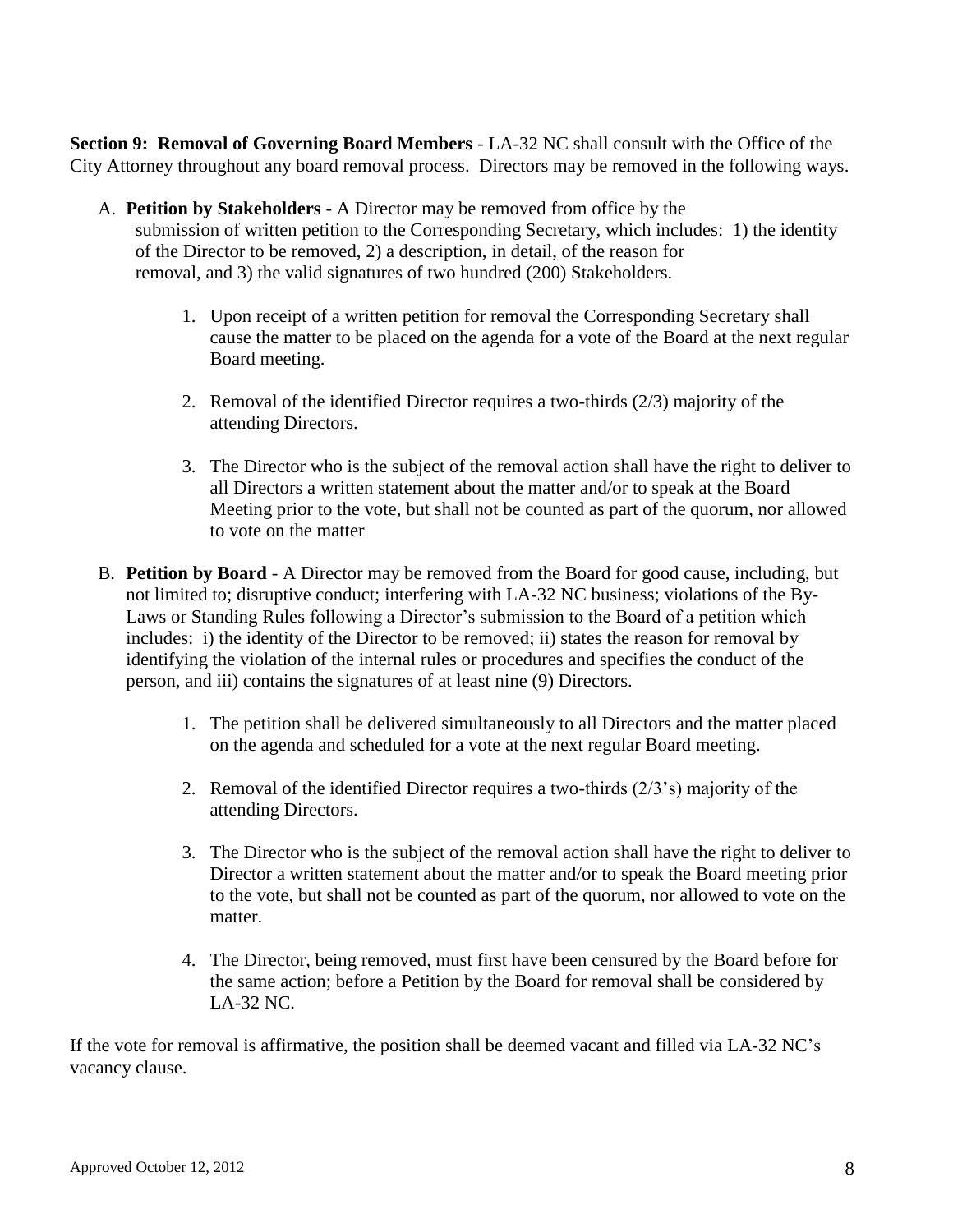**Section 9: Removal of Governing Board Members** - LA-32 NC shall consult with the Office of the City Attorney throughout any board removal process. Directors may be removed in the following ways.

- A. **Petition by Stakeholders** A Director may be removed from office by the submission of written petition to the Corresponding Secretary, which includes: 1) the identity of the Director to be removed, 2) a description, in detail, of the reason for removal, and 3) the valid signatures of two hundred (200) Stakeholders.
	- 1. Upon receipt of a written petition for removal the Corresponding Secretary shall cause the matter to be placed on the agenda for a vote of the Board at the next regular Board meeting.
	- 2. Removal of the identified Director requires a two-thirds (2/3) majority of the attending Directors.
	- 3. The Director who is the subject of the removal action shall have the right to deliver to all Directors a written statement about the matter and/or to speak at the Board Meeting prior to the vote, but shall not be counted as part of the quorum, nor allowed to vote on the matter
- B. **Petition by Board** A Director may be removed from the Board for good cause, including, but not limited to; disruptive conduct; interfering with LA-32 NC business; violations of the By-Laws or Standing Rules following a Director's submission to the Board of a petition which includes: i) the identity of the Director to be removed; ii) states the reason for removal by identifying the violation of the internal rules or procedures and specifies the conduct of the person, and iii) contains the signatures of at least nine (9) Directors.
	- 1. The petition shall be delivered simultaneously to all Directors and the matter placed on the agenda and scheduled for a vote at the next regular Board meeting.
	- 2. Removal of the identified Director requires a two-thirds  $(2/3)$ <sup>s</sup> majority of the attending Directors.
	- 3. The Director who is the subject of the removal action shall have the right to deliver to Director a written statement about the matter and/or to speak the Board meeting prior to the vote, but shall not be counted as part of the quorum, nor allowed to vote on the matter.
	- 4. The Director, being removed, must first have been censured by the Board before for the same action; before a Petition by the Board for removal shall be considered by LA-32 NC.

If the vote for removal is affirmative, the position shall be deemed vacant and filled via LA-32 NC's vacancy clause.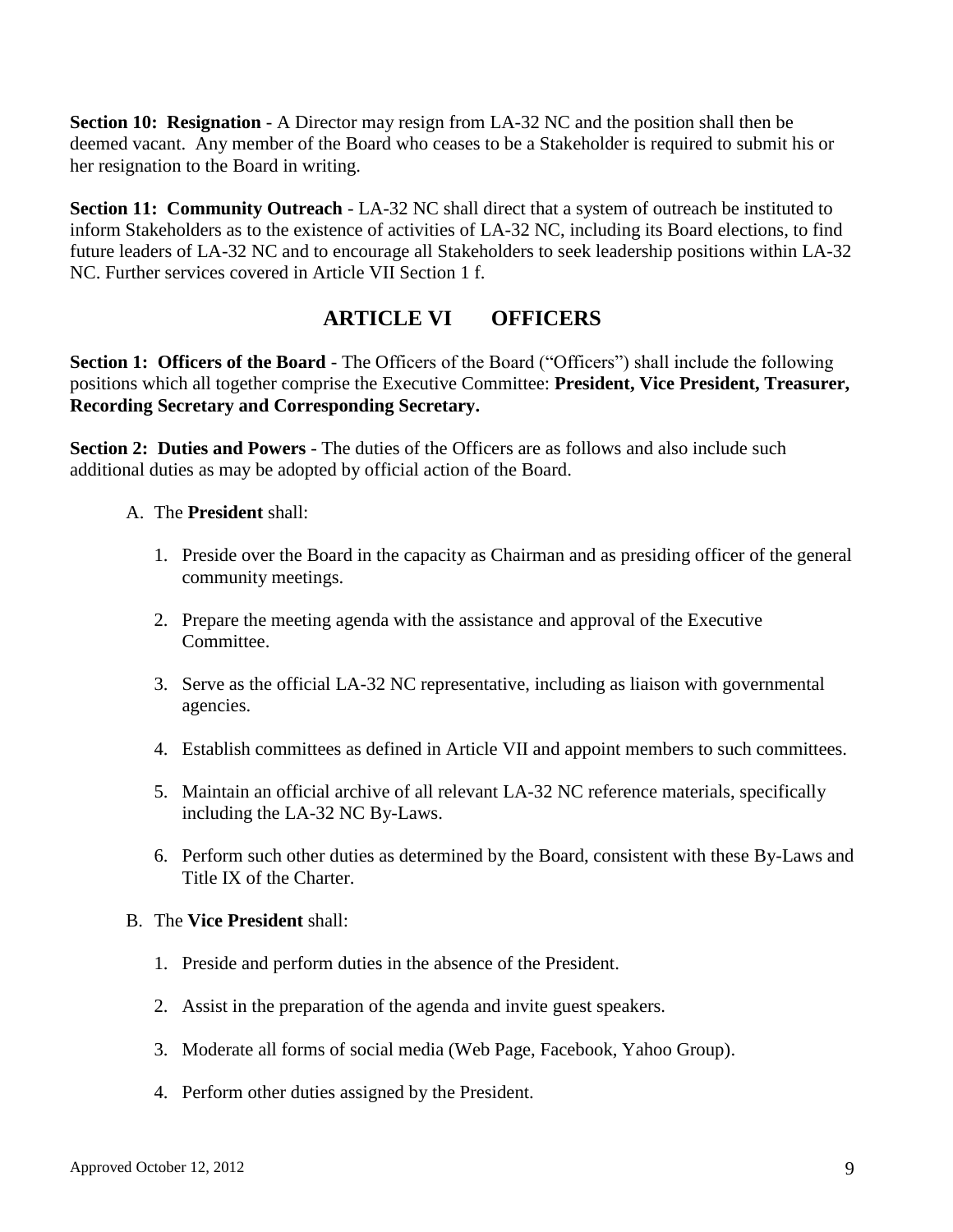**Section 10: Resignation** - A Director may resign from LA-32 NC and the position shall then be deemed vacant. Any member of the Board who ceases to be a Stakeholder is required to submit his or her resignation to the Board in writing.

**Section 11: Community Outreach** - LA-32 NC shall direct that a system of outreach be instituted to inform Stakeholders as to the existence of activities of LA-32 NC, including its Board elections, to find future leaders of LA-32 NC and to encourage all Stakeholders to seek leadership positions within LA-32 NC. Further services covered in Article VII Section 1 f.

# **ARTICLE VI OFFICERS**

**Section 1: Officers of the Board** - The Officers of the Board ("Officers") shall include the following positions which all together comprise the Executive Committee: **President, Vice President, Treasurer, Recording Secretary and Corresponding Secretary.**

**Section 2: Duties and Powers** - The duties of the Officers are as follows and also include such additional duties as may be adopted by official action of the Board.

#### A. The **President** shall:

- 1. Preside over the Board in the capacity as Chairman and as presiding officer of the general community meetings.
- 2. Prepare the meeting agenda with the assistance and approval of the Executive Committee.
- 3. Serve as the official LA-32 NC representative, including as liaison with governmental agencies.
- 4. Establish committees as defined in Article VII and appoint members to such committees.
- 5. Maintain an official archive of all relevant LA-32 NC reference materials, specifically including the LA-32 NC By-Laws.
- 6. Perform such other duties as determined by the Board, consistent with these By-Laws and Title IX of the Charter.

#### B. The **Vice President** shall:

- 1. Preside and perform duties in the absence of the President.
- 2. Assist in the preparation of the agenda and invite guest speakers.
- 3. Moderate all forms of social media (Web Page, Facebook, Yahoo Group).
- 4. Perform other duties assigned by the President.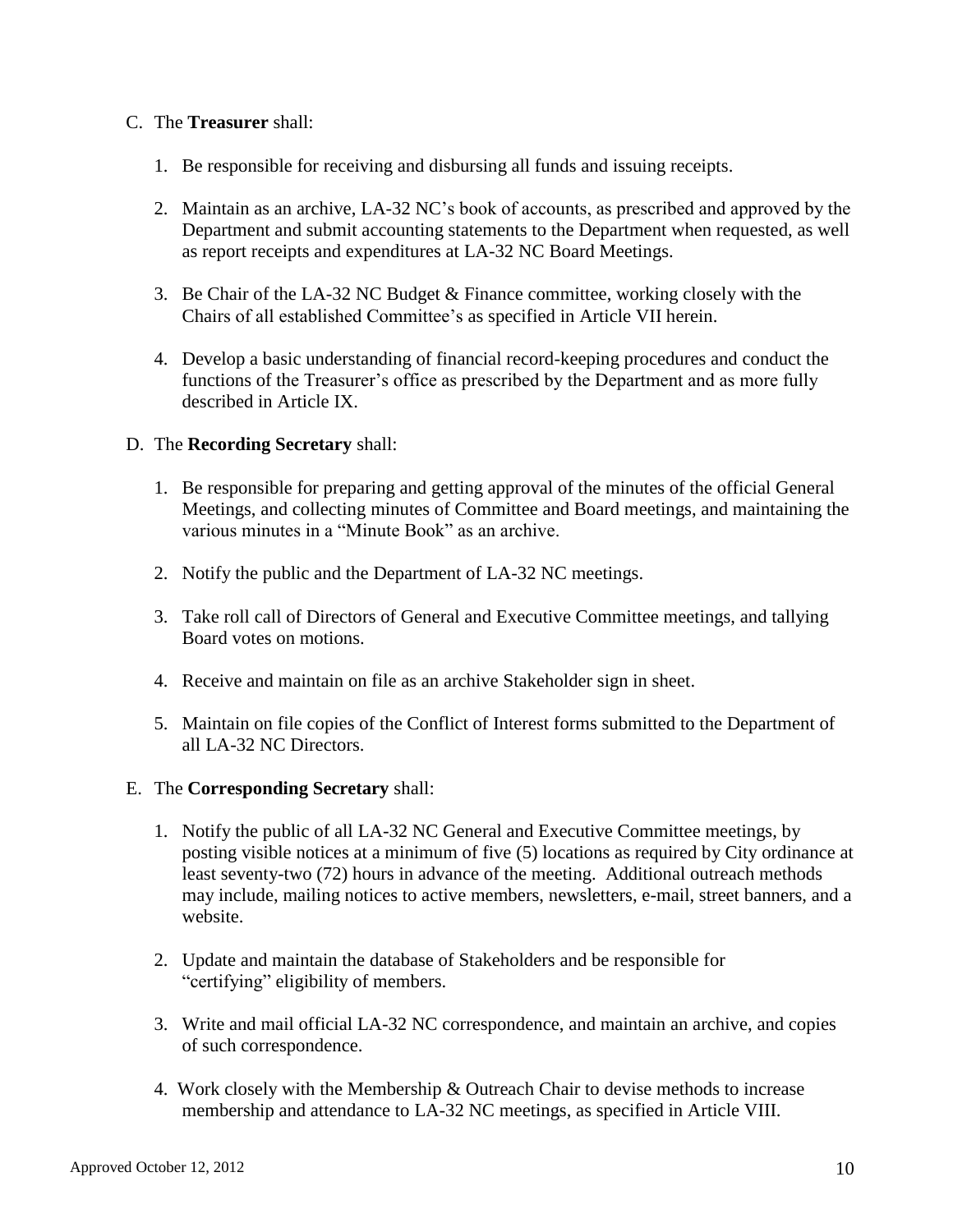#### C. The **Treasurer** shall:

- 1. Be responsible for receiving and disbursing all funds and issuing receipts.
- 2. Maintain as an archive, LA-32 NC's book of accounts, as prescribed and approved by the Department and submit accounting statements to the Department when requested, as well as report receipts and expenditures at LA-32 NC Board Meetings.
- 3. Be Chair of the LA-32 NC Budget & Finance committee, working closely with the Chairs of all established Committee's as specified in Article VII herein.
- 4. Develop a basic understanding of financial record-keeping procedures and conduct the functions of the Treasurer's office as prescribed by the Department and as more fully described in Article IX.

#### D. The **Recording Secretary** shall:

- 1. Be responsible for preparing and getting approval of the minutes of the official General Meetings, and collecting minutes of Committee and Board meetings, and maintaining the various minutes in a "Minute Book" as an archive.
- 2. Notify the public and the Department of LA-32 NC meetings.
- 3. Take roll call of Directors of General and Executive Committee meetings, and tallying Board votes on motions.
- 4. Receive and maintain on file as an archive Stakeholder sign in sheet.
- 5. Maintain on file copies of the Conflict of Interest forms submitted to the Department of all LA-32 NC Directors.
- E. The **Corresponding Secretary** shall:
	- 1. Notify the public of all LA-32 NC General and Executive Committee meetings, by posting visible notices at a minimum of five (5) locations as required by City ordinance at least seventy-two (72) hours in advance of the meeting. Additional outreach methods may include, mailing notices to active members, newsletters, e-mail, street banners, and a website.
	- 2. Update and maintain the database of Stakeholders and be responsible for "certifying" eligibility of members.
	- 3. Write and mail official LA-32 NC correspondence, and maintain an archive, and copies of such correspondence.
	- 4. Work closely with the Membership & Outreach Chair to devise methods to increase membership and attendance to LA-32 NC meetings, as specified in Article VIII.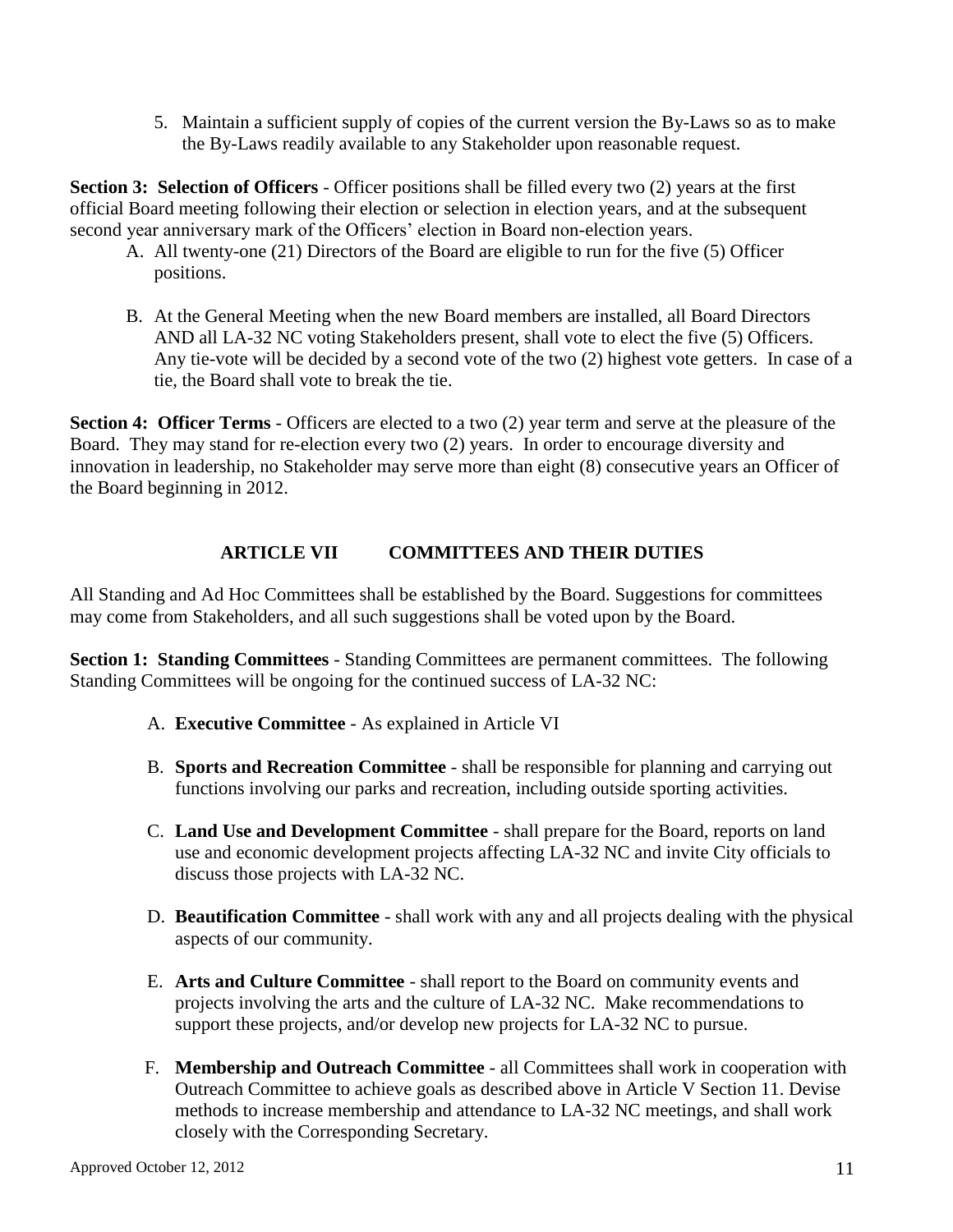5. Maintain a sufficient supply of copies of the current version the By-Laws so as to make the By-Laws readily available to any Stakeholder upon reasonable request.

**Section 3: Selection of Officers** - Officer positions shall be filled every two (2) years at the first official Board meeting following their election or selection in election years, and at the subsequent second year anniversary mark of the Officers' election in Board non-election years.

- A. All twenty-one (21) Directors of the Board are eligible to run for the five (5) Officer positions.
- B. At the General Meeting when the new Board members are installed, all Board Directors AND all LA-32 NC voting Stakeholders present, shall vote to elect the five (5) Officers. Any tie-vote will be decided by a second vote of the two (2) highest vote getters. In case of a tie, the Board shall vote to break the tie.

**Section 4: Officer Terms** - Officers are elected to a two (2) year term and serve at the pleasure of the Board. They may stand for re-election every two (2) years. In order to encourage diversity and innovation in leadership, no Stakeholder may serve more than eight (8) consecutive years an Officer of the Board beginning in 2012.

### **ARTICLE VII COMMITTEES AND THEIR DUTIES**

All Standing and Ad Hoc Committees shall be established by the Board. Suggestions for committees may come from Stakeholders, and all such suggestions shall be voted upon by the Board.

**Section 1: Standing Committees** - Standing Committees are permanent committees. The following Standing Committees will be ongoing for the continued success of LA-32 NC:

- A. **Executive Committee** As explained in Article VI
- B. **Sports and Recreation Committee** shall be responsible for planning and carrying out functions involving our parks and recreation, including outside sporting activities.
- C. **Land Use and Development Committee** shall prepare for the Board, reports on land use and economic development projects affecting LA-32 NC and invite City officials to discuss those projects with LA-32 NC.
- D. **Beautification Committee** shall work with any and all projects dealing with the physical aspects of our community.
- E. **Arts and Culture Committee** shall report to the Board on community events and projects involving the arts and the culture of LA-32 NC. Make recommendations to support these projects, and/or develop new projects for LA-32 NC to pursue.
- F. **Membership and Outreach Committee** all Committees shall work in cooperation with Outreach Committee to achieve goals as described above in Article V Section 11. Devise methods to increase membership and attendance to LA-32 NC meetings, and shall work closely with the Corresponding Secretary.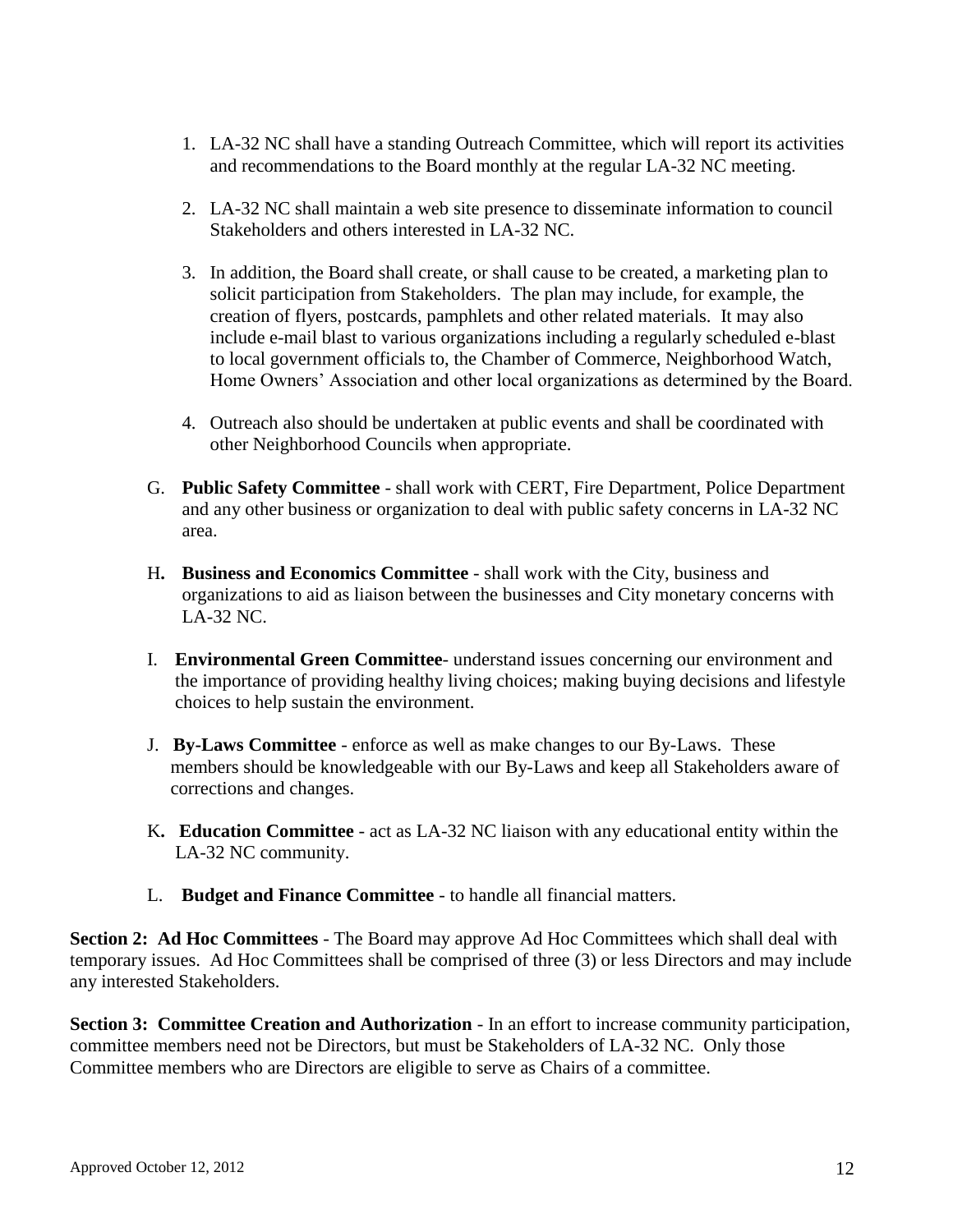- 1. LA-32 NC shall have a standing Outreach Committee, which will report its activities and recommendations to the Board monthly at the regular LA-32 NC meeting.
- 2. LA-32 NC shall maintain a web site presence to disseminate information to council Stakeholders and others interested in LA-32 NC.
- 3. In addition, the Board shall create, or shall cause to be created, a marketing plan to solicit participation from Stakeholders. The plan may include, for example, the creation of flyers, postcards, pamphlets and other related materials. It may also include e-mail blast to various organizations including a regularly scheduled e-blast to local government officials to, the Chamber of Commerce, Neighborhood Watch, Home Owners' Association and other local organizations as determined by the Board.
- 4. Outreach also should be undertaken at public events and shall be coordinated with other Neighborhood Councils when appropriate.
- G. **Public Safety Committee** shall work with CERT, Fire Department, Police Department and any other business or organization to deal with public safety concerns in LA-32 NC area.
- H**. Business and Economics Committee** shall work with the City, business and organizations to aid as liaison between the businesses and City monetary concerns with LA-32 NC.
- I. **Environmental Green Committee** understand issues concerning our environment and the importance of providing healthy living choices; making buying decisions and lifestyle choices to help sustain the environment.
- J. **By-Laws Committee** enforce as well as make changes to our By-Laws. These members should be knowledgeable with our By-Laws and keep all Stakeholders aware of corrections and changes.
- K**. Education Committee** act as LA-32 NC liaison with any educational entity within the LA-32 NC community.
- L. **Budget and Finance Committee** to handle all financial matters.

**Section 2: Ad Hoc Committees** - The Board may approve Ad Hoc Committees which shall deal with temporary issues. Ad Hoc Committees shall be comprised of three (3) or less Directors and may include any interested Stakeholders.

**Section 3: Committee Creation and Authorization** - In an effort to increase community participation, committee members need not be Directors, but must be Stakeholders of LA-32 NC. Only those Committee members who are Directors are eligible to serve as Chairs of a committee.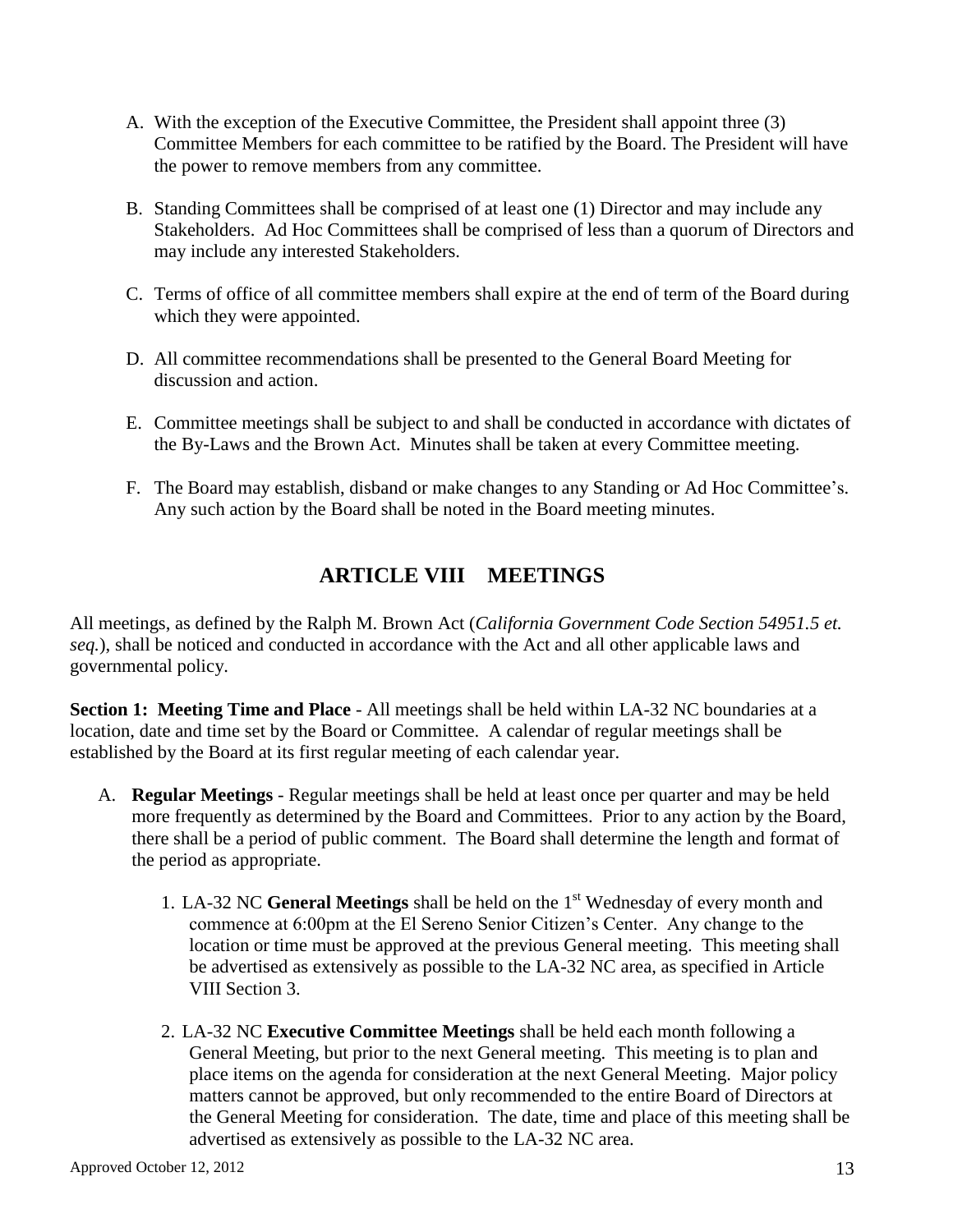- A. With the exception of the Executive Committee, the President shall appoint three (3) Committee Members for each committee to be ratified by the Board. The President will have the power to remove members from any committee.
- B. Standing Committees shall be comprised of at least one (1) Director and may include any Stakeholders. Ad Hoc Committees shall be comprised of less than a quorum of Directors and may include any interested Stakeholders.
- C. Terms of office of all committee members shall expire at the end of term of the Board during which they were appointed.
- D. All committee recommendations shall be presented to the General Board Meeting for discussion and action.
- E. Committee meetings shall be subject to and shall be conducted in accordance with dictates of the By-Laws and the Brown Act. Minutes shall be taken at every Committee meeting.
- F. The Board may establish, disband or make changes to any Standing or Ad Hoc Committee's. Any such action by the Board shall be noted in the Board meeting minutes.

# **ARTICLE VIII MEETINGS**

All meetings, as defined by the Ralph M. Brown Act (*California Government Code Section 54951.5 et. seq.*), shall be noticed and conducted in accordance with the Act and all other applicable laws and governmental policy.

**Section 1: Meeting Time and Place** - All meetings shall be held within LA-32 NC boundaries at a location, date and time set by the Board or Committee. A calendar of regular meetings shall be established by the Board at its first regular meeting of each calendar year.

- A. **Regular Meetings** Regular meetings shall be held at least once per quarter and may be held more frequently as determined by the Board and Committees. Prior to any action by the Board, there shall be a period of public comment. The Board shall determine the length and format of the period as appropriate.
	- 1. LA-32 NC **General Meetings** shall be held on the 1 st Wednesday of every month and commence at 6:00pm at the El Sereno Senior Citizen's Center. Any change to the location or time must be approved at the previous General meeting. This meeting shall be advertised as extensively as possible to the LA-32 NC area, as specified in Article VIII Section 3.
	- 2. LA-32 NC **Executive Committee Meetings** shall be held each month following a General Meeting, but prior to the next General meeting. This meeting is to plan and place items on the agenda for consideration at the next General Meeting. Major policy matters cannot be approved, but only recommended to the entire Board of Directors at the General Meeting for consideration. The date, time and place of this meeting shall be advertised as extensively as possible to the LA-32 NC area.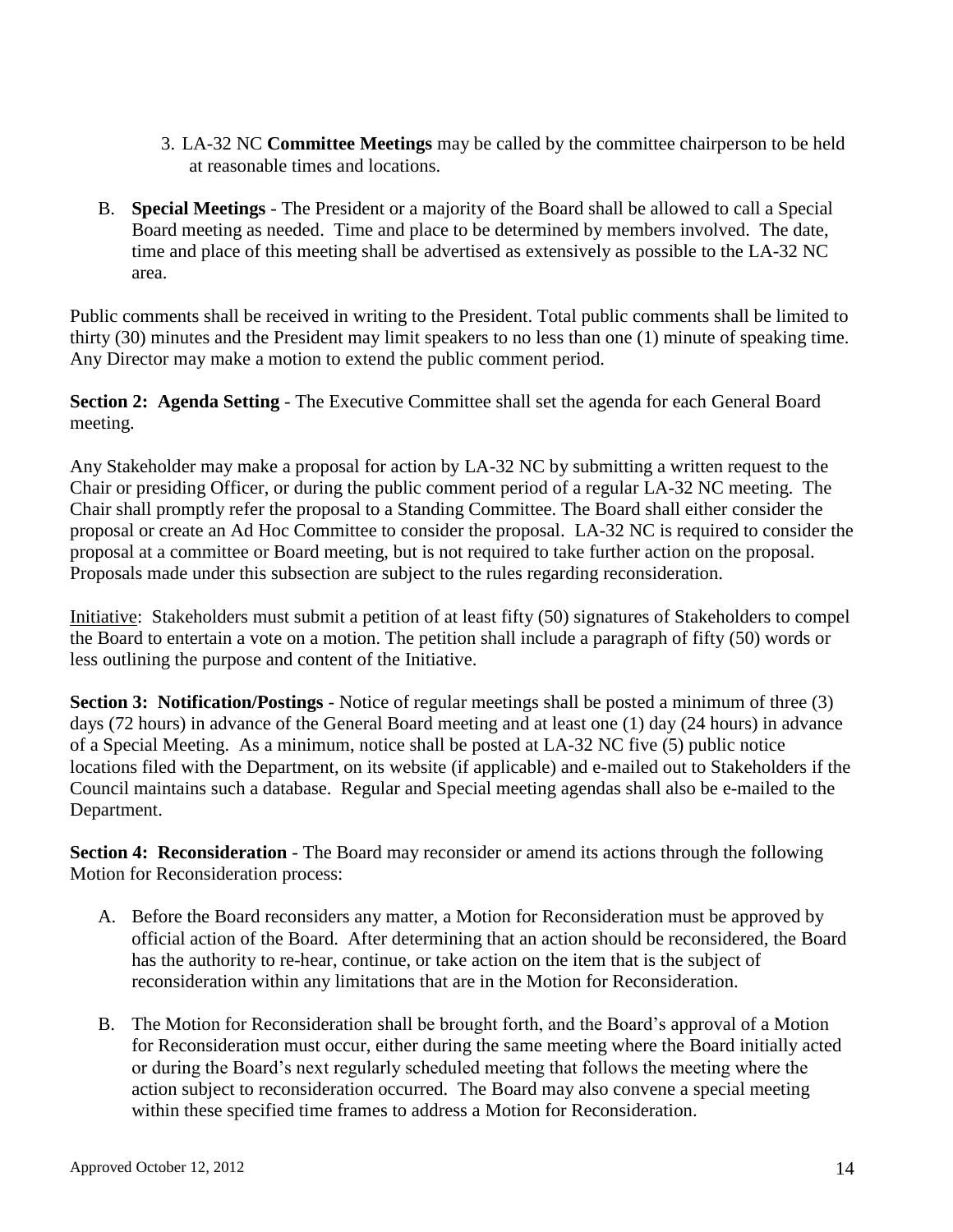- 3. LA-32 NC **Committee Meetings** may be called by the committee chairperson to be held at reasonable times and locations.
- B. **Special Meetings** The President or a majority of the Board shall be allowed to call a Special Board meeting as needed. Time and place to be determined by members involved. The date, time and place of this meeting shall be advertised as extensively as possible to the LA-32 NC area.

Public comments shall be received in writing to the President. Total public comments shall be limited to thirty (30) minutes and the President may limit speakers to no less than one (1) minute of speaking time. Any Director may make a motion to extend the public comment period.

**Section 2: Agenda Setting** - The Executive Committee shall set the agenda for each General Board meeting.

Any Stakeholder may make a proposal for action by LA-32 NC by submitting a written request to the Chair or presiding Officer, or during the public comment period of a regular LA-32 NC meeting. The Chair shall promptly refer the proposal to a Standing Committee. The Board shall either consider the proposal or create an Ad Hoc Committee to consider the proposal. LA-32 NC is required to consider the proposal at a committee or Board meeting, but is not required to take further action on the proposal. Proposals made under this subsection are subject to the rules regarding reconsideration.

Initiative: Stakeholders must submit a petition of at least fifty (50) signatures of Stakeholders to compel the Board to entertain a vote on a motion. The petition shall include a paragraph of fifty (50) words or less outlining the purpose and content of the Initiative.

**Section 3: Notification/Postings** - Notice of regular meetings shall be posted a minimum of three (3) days (72 hours) in advance of the General Board meeting and at least one (1) day (24 hours) in advance of a Special Meeting. As a minimum, notice shall be posted at LA-32 NC five (5) public notice locations filed with the Department, on its website (if applicable) and e-mailed out to Stakeholders if the Council maintains such a database. Regular and Special meeting agendas shall also be e-mailed to the Department.

**Section 4: Reconsideration** - The Board may reconsider or amend its actions through the following Motion for Reconsideration process:

- A. Before the Board reconsiders any matter, a Motion for Reconsideration must be approved by official action of the Board. After determining that an action should be reconsidered, the Board has the authority to re-hear, continue, or take action on the item that is the subject of reconsideration within any limitations that are in the Motion for Reconsideration.
- B. The Motion for Reconsideration shall be brought forth, and the Board's approval of a Motion for Reconsideration must occur, either during the same meeting where the Board initially acted or during the Board's next regularly scheduled meeting that follows the meeting where the action subject to reconsideration occurred. The Board may also convene a special meeting within these specified time frames to address a Motion for Reconsideration.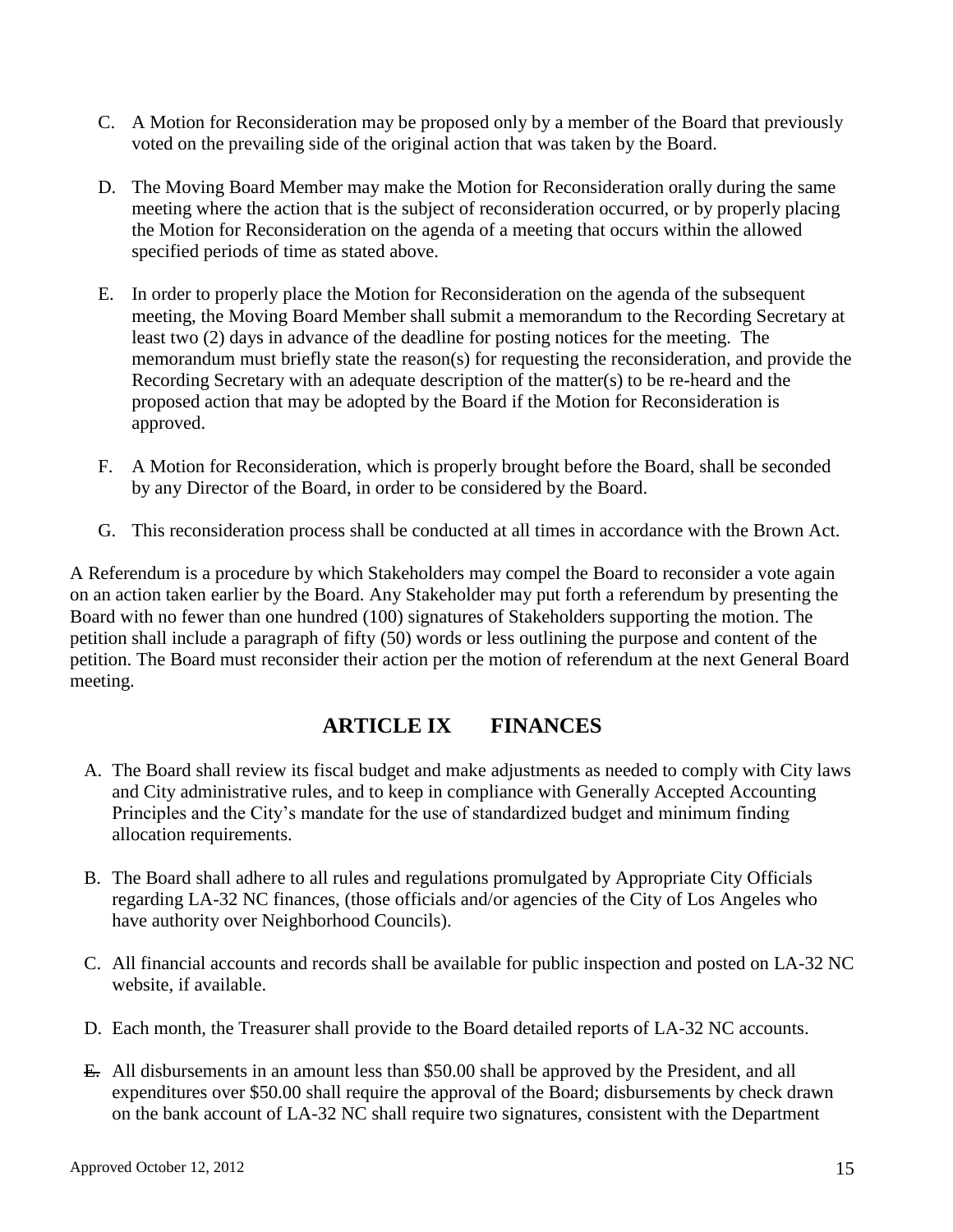- C. A Motion for Reconsideration may be proposed only by a member of the Board that previously voted on the prevailing side of the original action that was taken by the Board.
- D. The Moving Board Member may make the Motion for Reconsideration orally during the same meeting where the action that is the subject of reconsideration occurred, or by properly placing the Motion for Reconsideration on the agenda of a meeting that occurs within the allowed specified periods of time as stated above.
- E. In order to properly place the Motion for Reconsideration on the agenda of the subsequent meeting, the Moving Board Member shall submit a memorandum to the Recording Secretary at least two (2) days in advance of the deadline for posting notices for the meeting. The memorandum must briefly state the reason(s) for requesting the reconsideration, and provide the Recording Secretary with an adequate description of the matter(s) to be re-heard and the proposed action that may be adopted by the Board if the Motion for Reconsideration is approved.
- F. A Motion for Reconsideration, which is properly brought before the Board, shall be seconded by any Director of the Board, in order to be considered by the Board.
- G. This reconsideration process shall be conducted at all times in accordance with the Brown Act.

A Referendum is a procedure by which Stakeholders may compel the Board to reconsider a vote again on an action taken earlier by the Board. Any Stakeholder may put forth a referendum by presenting the Board with no fewer than one hundred (100) signatures of Stakeholders supporting the motion. The petition shall include a paragraph of fifty (50) words or less outlining the purpose and content of the petition. The Board must reconsider their action per the motion of referendum at the next General Board meeting.

## **ARTICLE IX FINANCES**

- A. The Board shall review its fiscal budget and make adjustments as needed to comply with City laws and City administrative rules, and to keep in compliance with Generally Accepted Accounting Principles and the City's mandate for the use of standardized budget and minimum finding allocation requirements.
- B. The Board shall adhere to all rules and regulations promulgated by Appropriate City Officials regarding LA-32 NC finances, (those officials and/or agencies of the City of Los Angeles who have authority over Neighborhood Councils).
- C. All financial accounts and records shall be available for public inspection and posted on LA-32 NC website, if available.
- D. Each month, the Treasurer shall provide to the Board detailed reports of LA-32 NC accounts.
- E. All disbursements in an amount less than \$50.00 shall be approved by the President, and all expenditures over \$50.00 shall require the approval of the Board; disbursements by check drawn on the bank account of LA-32 NC shall require two signatures, consistent with the Department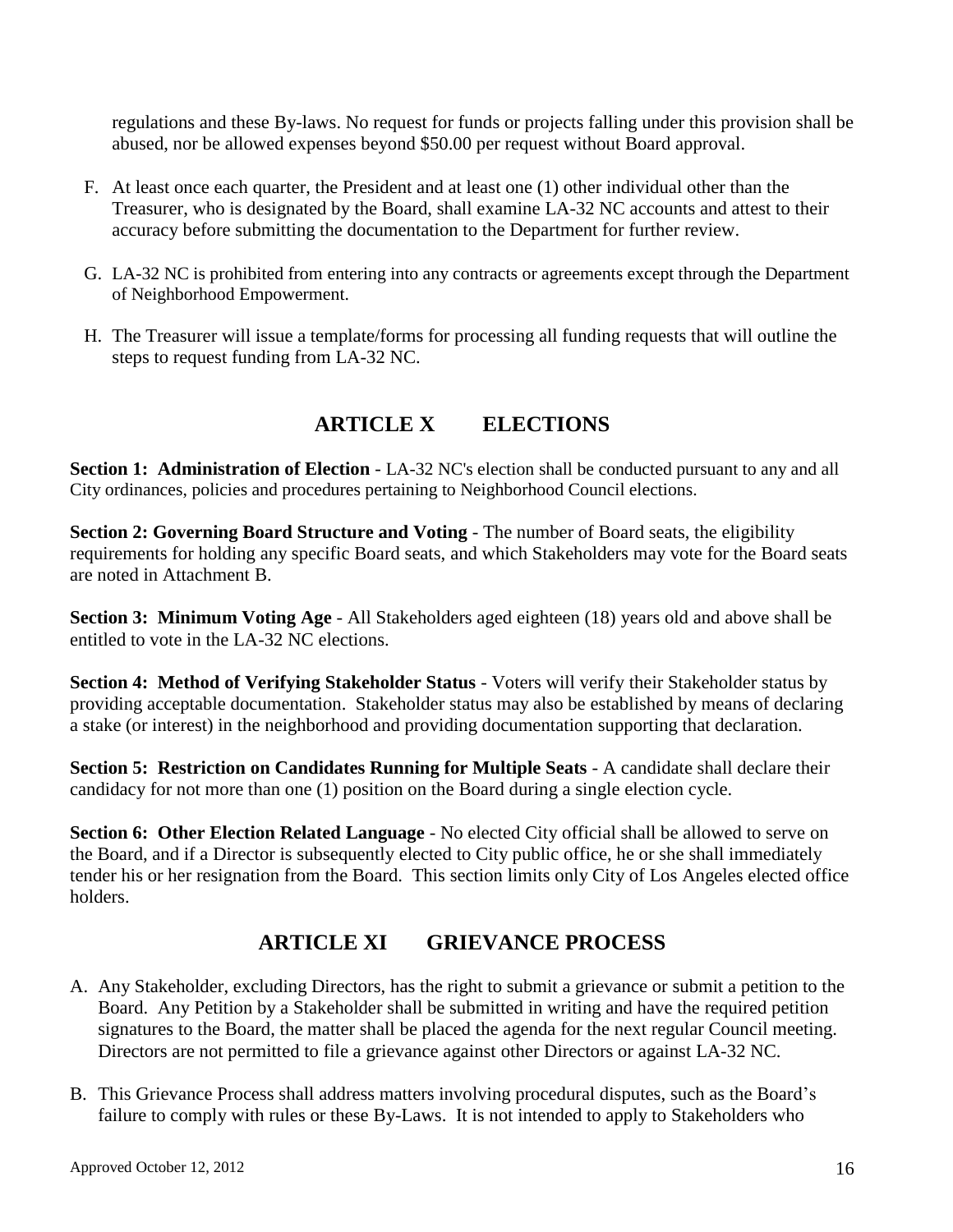regulations and these By-laws. No request for funds or projects falling under this provision shall be abused, nor be allowed expenses beyond \$50.00 per request without Board approval.

- F. At least once each quarter, the President and at least one (1) other individual other than the Treasurer, who is designated by the Board, shall examine LA-32 NC accounts and attest to their accuracy before submitting the documentation to the Department for further review.
- G. LA-32 NC is prohibited from entering into any contracts or agreements except through the Department of Neighborhood Empowerment.
- H. The Treasurer will issue a template/forms for processing all funding requests that will outline the steps to request funding from LA-32 NC.

## **ARTICLE X ELECTIONS**

**Section 1: Administration of Election** - LA-32 NC's election shall be conducted pursuant to any and all City ordinances, policies and procedures pertaining to Neighborhood Council elections.

**Section 2: Governing Board Structure and Voting** - The number of Board seats, the eligibility requirements for holding any specific Board seats, and which Stakeholders may vote for the Board seats are noted in Attachment B.

**Section 3: Minimum Voting Age** - All Stakeholders aged eighteen (18) years old and above shall be entitled to vote in the LA-32 NC elections.

**Section 4: Method of Verifying Stakeholder Status** - Voters will verify their Stakeholder status by providing acceptable documentation. Stakeholder status may also be established by means of declaring a stake (or interest) in the neighborhood and providing documentation supporting that declaration.

**Section 5: Restriction on Candidates Running for Multiple Seats** - A candidate shall declare their candidacy for not more than one (1) position on the Board during a single election cycle.

**Section 6: Other Election Related Language** - No elected City official shall be allowed to serve on the Board, and if a Director is subsequently elected to City public office, he or she shall immediately tender his or her resignation from the Board. This section limits only City of Los Angeles elected office holders.

## **ARTICLE XI GRIEVANCE PROCESS**

- A. Any Stakeholder, excluding Directors, has the right to submit a grievance or submit a petition to the Board. Any Petition by a Stakeholder shall be submitted in writing and have the required petition signatures to the Board, the matter shall be placed the agenda for the next regular Council meeting. Directors are not permitted to file a grievance against other Directors or against LA-32 NC.
- B. This Grievance Process shall address matters involving procedural disputes, such as the Board's failure to comply with rules or these By-Laws. It is not intended to apply to Stakeholders who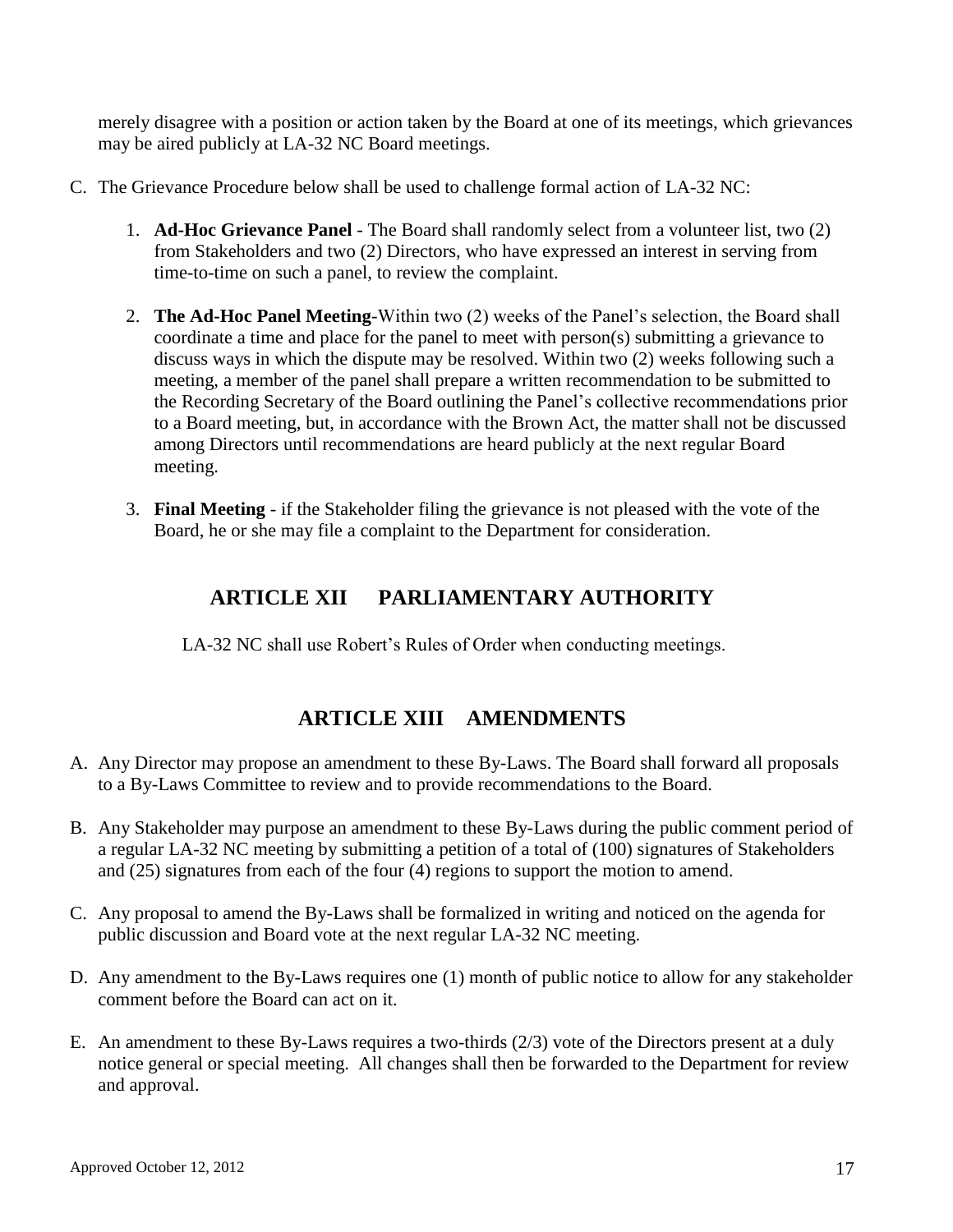merely disagree with a position or action taken by the Board at one of its meetings, which grievances may be aired publicly at LA-32 NC Board meetings.

- C. The Grievance Procedure below shall be used to challenge formal action of LA-32 NC:
	- 1. **Ad-Hoc Grievance Panel** The Board shall randomly select from a volunteer list, two (2) from Stakeholders and two (2) Directors, who have expressed an interest in serving from time-to-time on such a panel, to review the complaint.
	- 2. **The Ad-Hoc Panel Meeting**-Within two (2) weeks of the Panel's selection, the Board shall coordinate a time and place for the panel to meet with person(s) submitting a grievance to discuss ways in which the dispute may be resolved. Within two (2) weeks following such a meeting, a member of the panel shall prepare a written recommendation to be submitted to the Recording Secretary of the Board outlining the Panel's collective recommendations prior to a Board meeting, but, in accordance with the Brown Act, the matter shall not be discussed among Directors until recommendations are heard publicly at the next regular Board meeting.
	- 3. **Final Meeting** if the Stakeholder filing the grievance is not pleased with the vote of the Board, he or she may file a complaint to the Department for consideration.

# **ARTICLE XII PARLIAMENTARY AUTHORITY**

LA-32 NC shall use Robert's Rules of Order when conducting meetings.

# **ARTICLE XIII AMENDMENTS**

- A. Any Director may propose an amendment to these By-Laws. The Board shall forward all proposals to a By-Laws Committee to review and to provide recommendations to the Board.
- B. Any Stakeholder may purpose an amendment to these By-Laws during the public comment period of a regular LA-32 NC meeting by submitting a petition of a total of (100) signatures of Stakeholders and (25) signatures from each of the four (4) regions to support the motion to amend.
- C. Any proposal to amend the By-Laws shall be formalized in writing and noticed on the agenda for public discussion and Board vote at the next regular LA-32 NC meeting.
- D. Any amendment to the By-Laws requires one (1) month of public notice to allow for any stakeholder comment before the Board can act on it.
- E. An amendment to these By-Laws requires a two-thirds (2/3) vote of the Directors present at a duly notice general or special meeting. All changes shall then be forwarded to the Department for review and approval.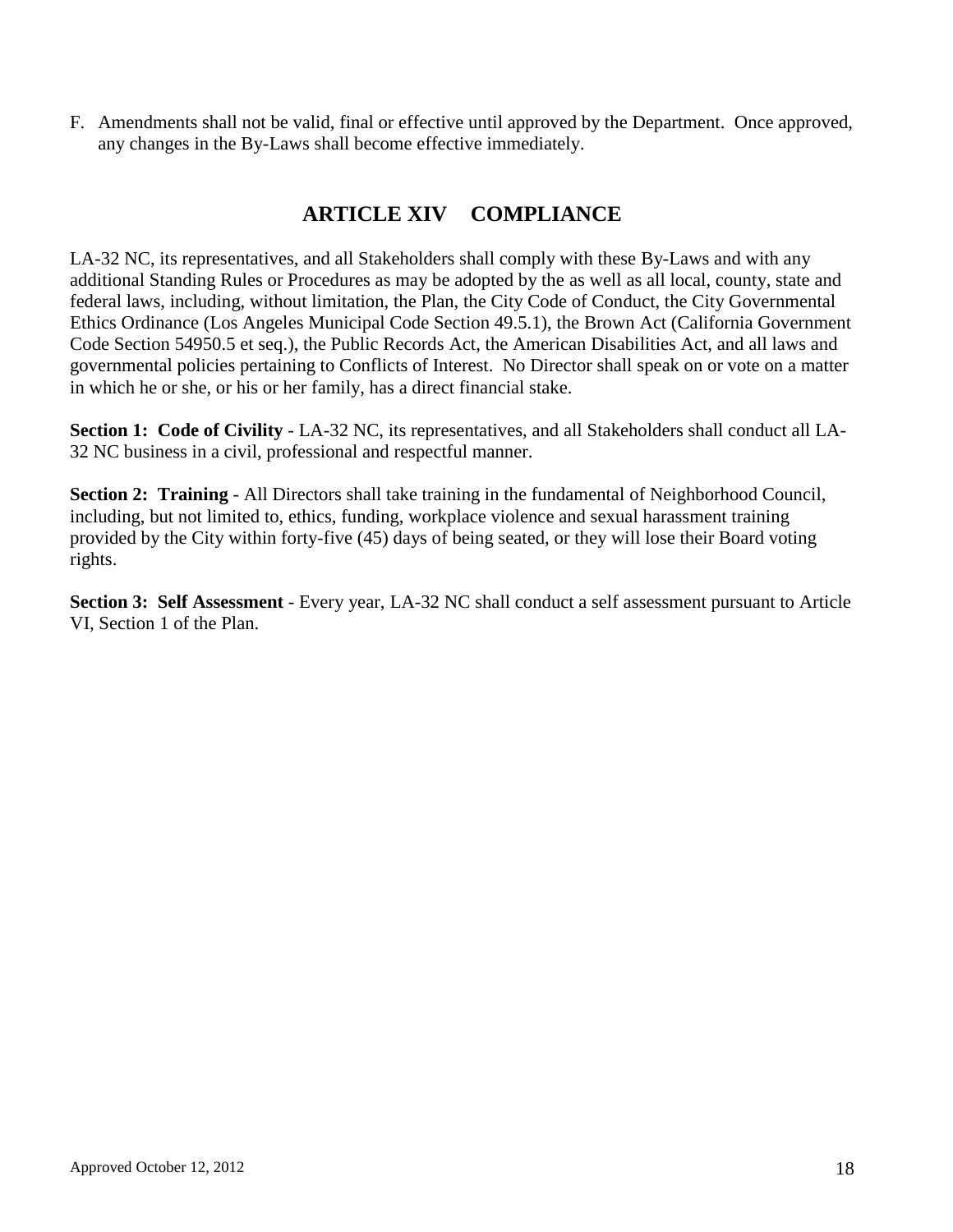F. Amendments shall not be valid, final or effective until approved by the Department. Once approved, any changes in the By-Laws shall become effective immediately.

## **ARTICLE XIV COMPLIANCE**

LA-32 NC, its representatives, and all Stakeholders shall comply with these By-Laws and with any additional Standing Rules or Procedures as may be adopted by the as well as all local, county, state and federal laws, including, without limitation, the Plan, the City Code of Conduct, the City Governmental Ethics Ordinance (Los Angeles Municipal Code Section 49.5.1), the Brown Act (California Government Code Section 54950.5 et seq.), the Public Records Act, the American Disabilities Act, and all laws and governmental policies pertaining to Conflicts of Interest. No Director shall speak on or vote on a matter in which he or she, or his or her family, has a direct financial stake.

**Section 1: Code of Civility** - LA-32 NC, its representatives, and all Stakeholders shall conduct all LA-32 NC business in a civil, professional and respectful manner.

**Section 2: Training** - All Directors shall take training in the fundamental of Neighborhood Council, including, but not limited to, ethics, funding, workplace violence and sexual harassment training provided by the City within forty-five (45) days of being seated, or they will lose their Board voting rights.

**Section 3: Self Assessment** - Every year, LA-32 NC shall conduct a self assessment pursuant to Article VI, Section 1 of the Plan.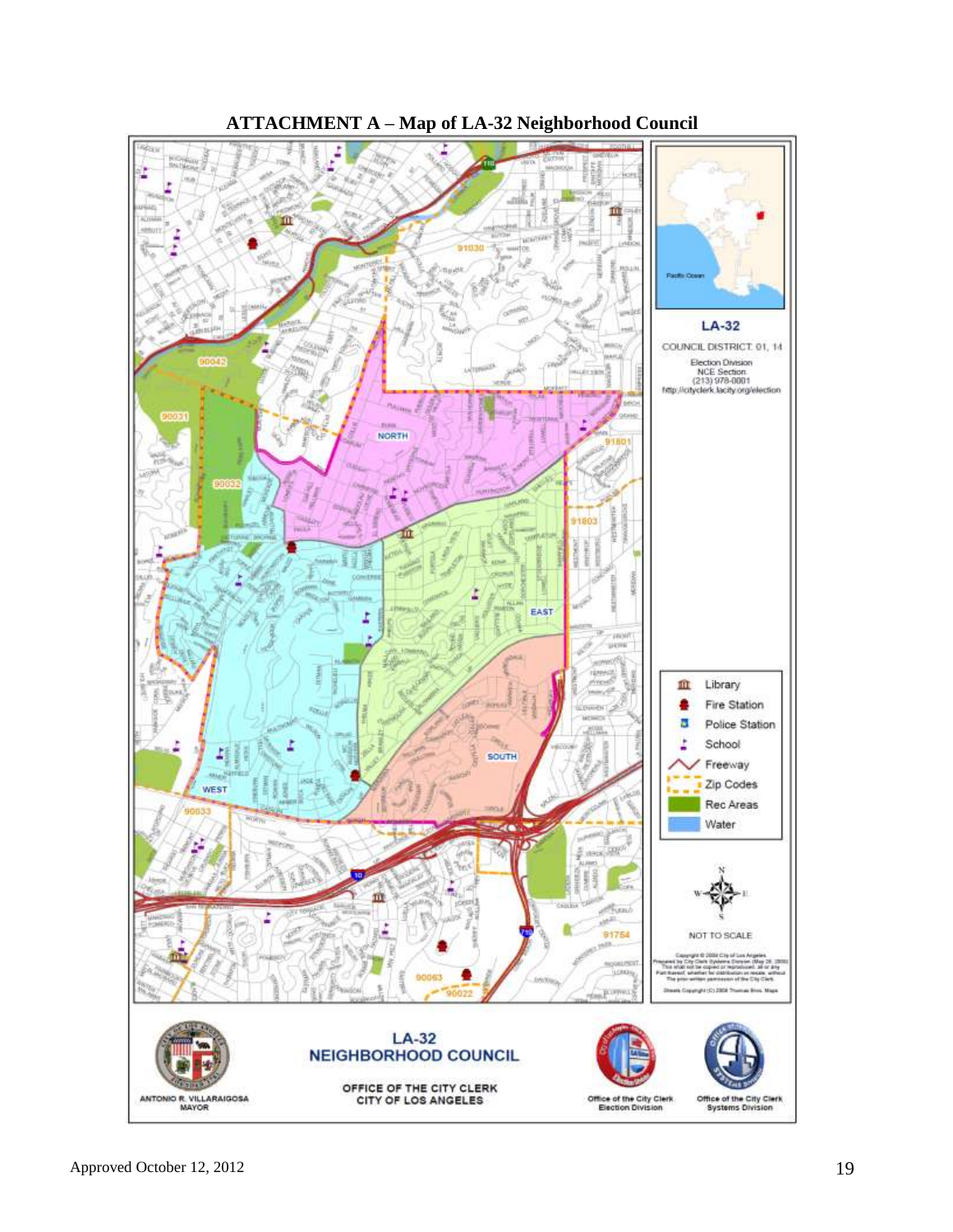

**ATTACHMENT A – Map of LA-32 Neighborhood Council**